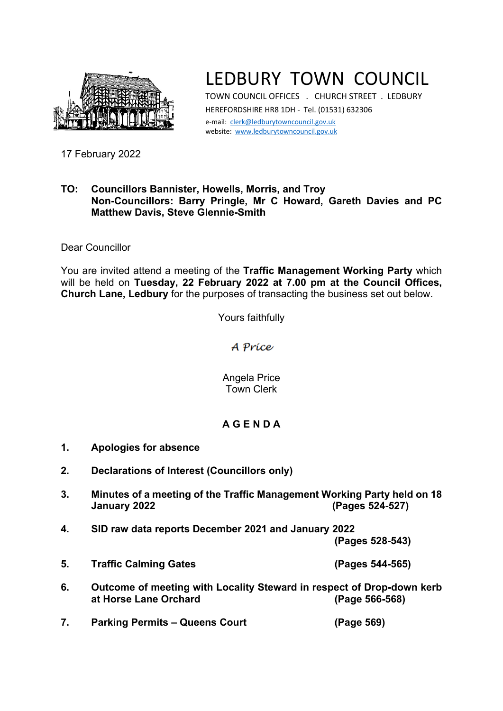

## LEDBURY TOWN COUNCIL

TOWN COUNCIL OFFICES . CHURCH STREET . LEDBURY HEREFORDSHIRE HR8 1DH - Tel. (01531) 632306 e-mail: [clerk@ledburytowncouncil.gov.uk](mailto:clerk@ledburytowncouncil.gov.uk) website: [www.ledburytowncouncil.gov.uk](http://www.ledburytowncouncil.gov.uk/)

17 February 2022

## **TO: Councillors Bannister, Howells, Morris, and Troy Non-Councillors: Barry Pringle, Mr C Howard, Gareth Davies and PC Matthew Davis, Steve Glennie-Smith**

Dear Councillor

You are invited attend a meeting of the **Traffic Management Working Party** which will be held on **Tuesday, 22 February 2022 at 7.00 pm at the Council Offices, Church Lane, Ledbury** for the purposes of transacting the business set out below.

Yours faithfully

A Príce

Angela Price Town Clerk

## **A G E N D A**

- **1. Apologies for absence**
- **2. Declarations of Interest (Councillors only)**
- **3. Minutes of a meeting of the Traffic Management Working Party held on 18 January 2022 (Pages 524-527)**
- **4. SID raw data reports December 2021 and January 2022**

**(Pages 528-543)**

- **5. Traffic Calming Gates (Pages 544-565)**
- **6. Outcome of meeting with Locality Steward in respect of Drop-down kerb at Horse Lane Orchard (Page 566-568)**
- **7. Parking Permits – Queens Court (Page 569)**